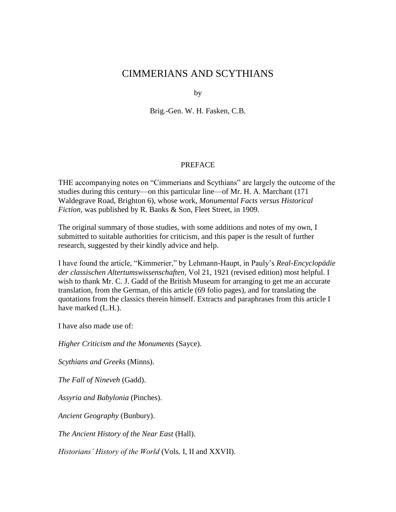# CIMMERIANS AND SCYTHIANS

by

Brig.-Gen. W. H. Fasken, C.B.

#### PREFACE

THE accompanying notes on "Cimmerians and Scythians" are largely the outcome of the studies during this century—on this particular line—of Mr. H. A. Marchant (171 Waldegrave Road, Brighton 6), whose work, *Monumental Facts versus Historical Fiction,* was published by R. Banks & Son, Fleet Street, in 1909.

The original summary of those studies, with some additions and notes of my own, I submitted to suitable authorities for criticism, and this paper is the result of further research, suggested by their kindly advice and help.

I have found the article, "Kimmerier," by Lehmann-Haupt, in Pauly's *Real-Encyclopädie der classischen Altertumswissenschaften,* Vol 21, 1921 (revised edition) most helpful. I wish to thank Mr. C. J. Gadd of the British Museum for arranging to get me an accurate translation, from the German, of this article (69 folio pages), and for translating the quotations from the classics therein himself. Extracts and paraphrases from this article I have marked (L.H.).

I have also made use of:

*Higher Criticism and the Monuments* (Sayce).

*Scythians and Greeks* (Minns).

*The Fall of Nineveh* (Gadd).

*Assyria and Babylonia* (Pinches).

*Ancient Geography* (Bunbury).

*The Ancient History of the Near East* (Hall).

*Historians' History of the World* (Vols. I, II and XXVII).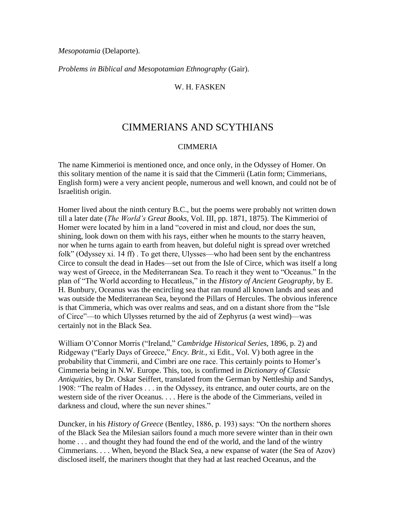*Mesopotamia* (Delaporte).

*Problems in Biblical and Mesopotamian Ethnography* (Gair).

#### W. H. FASKEN

## CIMMERIANS AND SCYTHIANS

#### CIMMERIA

The name Kimmerioi is mentioned once, and once only, in the Odyssey of Homer. On this solitary mention of the name it is said that the Cimmerii (Latin form; Cimmerians, English form) were a very ancient people, numerous and well known, and could not be of Israelitish origin.

Homer lived about the ninth century B.C., but the poems were probably not written down till a later date (*The World's Great Books,* Vol. III, pp. 1871, 1875). The Kimmerioi of Homer were located by him in a land "covered in mist and cloud, nor does the sun, shining, look down on them with his rays, either when he mounts to the starry heaven, nor when he turns again to earth from heaven, but doleful night is spread over wretched folk" (Odyssey xi. 14 ff) . To get there, Ulysses—who had been sent by the enchantress Circe to consult the dead in Hades—set out from the Isle of Circe, which was itself a long way west of Greece, in the Mediterranean Sea. To reach it they went to "Oceanus." In the plan of "The World according to Hecatleus," in the *History of Ancient Geography,* by E. H. Bunbury, Oceanus was the encircling sea that ran round all known lands and seas and was outside the Mediterranean Sea, beyond the Pillars of Hercules. The obvious inference is that Cimmeria, which was over realms and seas, and on a distant shore from the "Isle of Circe"—to which Ulysses returned by the aid of Zephyrus (a west wind)—was certainly not in the Black Sea.

William O'Connor Morris ("Ireland," *Cambridge Historical Series,* 1896, p. 2) and Ridgeway ("Early Days of Greece," *Ency. Brit.,* xi Edit., Vol. V) both agree in the probability that Cimmerii, and Cimbri are one race. This certainly points to Homer's Cimmeria being in N.W. Europe. This, too, is confirmed in *Dictionary of Classic Antiquities,* by Dr. Oskar Seiffert, translated from the German by Nettleship and Sandys, 1908: "The realm of Hades . . . in the Odyssey, its entrance, and outer courts, are on the western side of the river Oceanus. . . . Here is the abode of the Cimmerians, veiled in darkness and cloud, where the sun never shines."

Duncker, in his *History of Greece* (Bentley, 1886, p. 193) says: "On the northern shores of the Black Sea the Milesian sailors found a much more severe winter than in their own home . . . and thought they had found the end of the world, and the land of the wintry Cimmerians. . . . When, beyond the Black Sea, a new expanse of water (the Sea of Azov) disclosed itself, the mariners thought that they had at last reached Oceanus, and the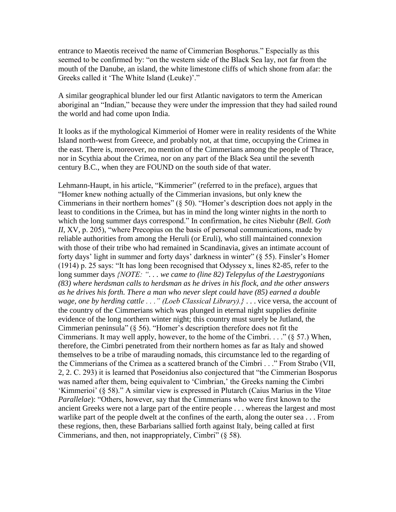entrance to Maeotis received the name of Cimmerian Bosphorus." Especially as this seemed to be confirmed by: "on the western side of the Black Sea lay, not far from the mouth of the Danube, an island, the white limestone cliffs of which shone from afar: the Greeks called it 'The White Island (Leuke)'."

A similar geographical blunder led our first Atlantic navigators to term the American aboriginal an "Indian," because they were under the impression that they had sailed round the world and had come upon India.

It looks as if the mythological Kimmerioi of Homer were in reality residents of the White Island north-west from Greece, and probably not, at that time, occupying the Crimea in the east. There is, moreover, no mention of the Cimmerians among the people of Thrace, nor in Scythia about the Crimea, nor on any part of the Black Sea until the seventh century B.C., when they are FOUND on the south side of that water.

Lehmann-Haupt, in his article, "Kimmerier" (referred to in the preface), argues that "Homer knew nothing actually of the Cimmerian invasions, but only knew the Cimmerians in their northern homes" (§ 50). "Homer's description does not apply in the least to conditions in the Crimea, but has in mind the long winter nights in the north to which the long summer days correspond." In confirmation, he cites Niebuhr (*Bell. Goth II, XV, p. 205), "where Precopius on the basis of personal communications, made by* reliable authorities from among the Heruli (or Eruli), who still maintained connexion with those of their tribe who had remained in Scandinavia, gives an intimate account of forty days' light in summer and forty days' darkness in winter" (§ 55). Finsler's Homer (1914) p. 25 says: "It has long been recognised that Odyssey x, lines 82-85, refer to the long summer days *{NOTE: ". . . we came to (line 82) Telepylus of the Laestrygonians (83) where herdsman calls to herdsman as he drives in his flock, and the other answers as he drives his forth. There a man who never slept could have (85) earned a double wage, one by herding cattle . . ." (Loeb Classical Library).}* . . . vice versa, the account of the country of the Cimmerians which was plunged in eternal night supplies definite evidence of the long northern winter night; this country must surely be Jutland, the Cimmerian peninsula" (§ 56). "Homer's description therefore does not fit the Cimmerians. It may well apply, however, to the home of the Cimbri. . . . " ( $\S$  57.) When, therefore, the Cimbri penetrated from their northern homes as far as Italy and showed themselves to be a tribe of marauding nomads, this circumstance led to the regarding of the Cimmerians of the Crimea as a scattered branch of the Cimbri . . ." From Strabo (VII, 2, 2. C. 293) it is learned that Poseidonius also conjectured that "the Cimmerian Bosporus was named after them, being equivalent to 'Cimbrian,' the Greeks naming the Cimbri 'Kimmerioi' (§ 58)." A similar view is expressed in Plutarch (Caius Marius in the *Vitae Parallelae*): "Others, however, say that the Cimmerians who were first known to the ancient Greeks were not a large part of the entire people . . . whereas the largest and most warlike part of the people dwelt at the confines of the earth, along the outer sea . . . From these regions, then, these Barbarians sallied forth against Italy, being called at first Cimmerians, and then, not inappropriately, Cimbri" (§ 58).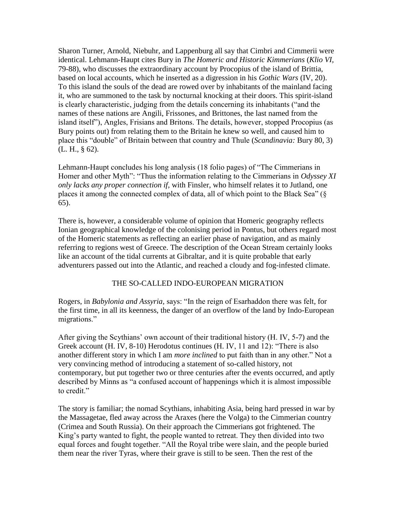Sharon Turner, Arnold, Niebuhr, and Lappenburg all say that Cimbri and Cimmerii were identical. Lehmann-Haupt cites Bury in *The Homeric and Historic Kimmerians* (*Klio VI,* 79-88), who discusses the extraordinary account by Procopius of the island of Brittia, based on local accounts, which he inserted as a digression in his *Gothic Wars* (IV, 20). To this island the souls of the dead are rowed over by inhabitants of the mainland facing it, who are summoned to the task by nocturnal knocking at their doors. This spirit-island is clearly characteristic, judging from the details concerning its inhabitants ("and the names of these nations are Angili, Frissones, and Brittones, the last named from the island itself"), Angles, Frisians and Britons. The details, however, stopped Procopius (as Bury points out) from relating them to the Britain he knew so well, and caused him to place this "double" of Britain between that country and Thule (*Scandinavia:* Bury 80, 3) (L. H., § 62).

Lehmann-Haupt concludes his long analysis (18 folio pages) of "The Cimmerians in Homer and other Myth": "Thus the information relating to the Cimmerians in *Odyssey XI only lacks any proper connection if,* with Finsler, who himself relates it to Jutland, one places it among the connected complex of data, all of which point to the Black Sea" (§ 65).

There is, however, a considerable volume of opinion that Homeric geography reflects Ionian geographical knowledge of the colonising period in Pontus, but others regard most of the Homeric statements as reflecting an earlier phase of navigation, and as mainly referring to regions west of Greece. The description of the Ocean Stream certainly looks like an account of the tidal currents at Gibraltar, and it is quite probable that early adventurers passed out into the Atlantic, and reached a cloudy and fog-infested climate.

#### THE SO-CALLED INDO-EUROPEAN MIGRATION

Rogers, in *Babylonia and Assyria,* says: "In the reign of Esarhaddon there was felt, for the first time, in all its keenness, the danger of an overflow of the land by Indo-European migrations."

After giving the Scythians' own account of their traditional history (H. IV, 5-7) and the Greek account (H. IV, 8-10) Herodotus continues (H. IV, 11 and 12): "There is also another different story in which I am *more inclined* to put faith than in any other." Not a very convincing method of introducing a statement of so-called history, not contemporary, but put together two or three centuries after the events occurred, and aptly described by Minns as "a confused account of happenings which it is almost impossible to credit."

The story is familiar; the nomad Scythians, inhabiting Asia, being hard pressed in war by the Massagetae, fled away across the Araxes (here the Volga) to the Cimmerian country (Crimea and South Russia). On their approach the Cimmerians got frightened. The King's party wanted to fight, the people wanted to retreat. They then divided into two equal forces and fought together. "All the Royal tribe were slain, and the people buried them near the river Tyras, where their grave is still to be seen. Then the rest of the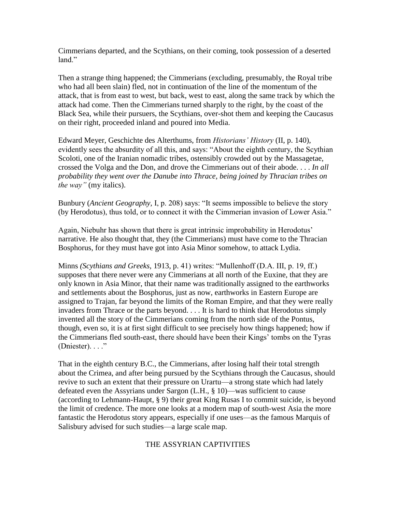Cimmerians departed, and the Scythians, on their coming, took possession of a deserted land"

Then a strange thing happened; the Cimmerians (excluding, presumably, the Royal tribe who had all been slain) fled, not in continuation of the line of the momentum of the attack, that is from east to west, but back, west to east, along the same track by which the attack had come. Then the Cimmerians turned sharply to the right, by the coast of the Black Sea, while their pursuers, the Scythians, over-shot them and keeping the Caucasus on their right, proceeded inland and poured into Media.

Edward Meyer, Geschichte des Alterthums, from *Historians' History* (II, p. 140), evidently sees the absurdity of all this, and says: "About the eighth century, the Scythian Scoloti, one of the Iranian nomadic tribes, ostensibly crowded out by the Massagetae, crossed the Volga and the Don, and drove the Cimmerians out of their abode. . . . *In all probability they went over the Danube into Thrace, being joined by Thracian tribes on the way"* (my italics).

Bunbury (*Ancient Geography,* I, p. 208) says: "It seems impossible to believe the story (by Herodotus), thus told, or to connect it with the Cimmerian invasion of Lower Asia."

Again, Niebuhr has shown that there is great intrinsic improbability in Herodotus' narrative. He also thought that, they (the Cimmerians) must have come to the Thracian Bosphorus, for they must have got into Asia Minor somehow, to attack Lydia.

Minns *(Scythians and Greeks,* 1913, p. 41) writes: "Mullenhoff (D.A. III, p. 19, ff.) supposes that there never were any Cimmerians at all north of the Euxine, that they are only known in Asia Minor, that their name was traditionally assigned to the earthworks and settlements about the Bosphorus, just as now, earthworks in Eastern Europe are assigned to Trajan, far beyond the limits of the Roman Empire, and that they were really invaders from Thrace or the parts beyond. . . . It is hard to think that Herodotus simply invented all the story of the Cimmerians coming from the north side of the Pontus, though, even so, it is at first sight difficult to see precisely how things happened; how if the Cimmerians fled south-east, there should have been their Kings' tombs on the Tyras (Dniester). . . ."

That in the eighth century B.C., the Cimmerians, after losing half their total strength about the Crimea, and after being pursued by the Scythians through the Caucasus, should revive to such an extent that their pressure on Urartu—a strong state which had lately defeated even the Assyrians under Sargon (L.H., § 10)—was sufficient to cause (according to Lehmann-Haupt, § 9) their great King Rusas I to commit suicide, is beyond the limit of credence. The more one looks at a modern map of south-west Asia the more fantastic the Herodotus story appears, especially if one uses—as the famous Marquis of Salisbury advised for such studies—a large scale map.

### THE ASSYRIAN CAPTIVITIES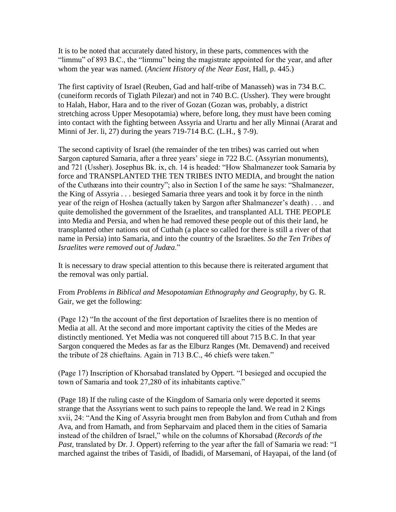It is to be noted that accurately dated history, in these parts, commences with the "limmu" of 893 B.C., the "limmu" being the magistrate appointed for the year, and after whom the year was named. (*Ancient History of the Near East,* Hall, p. 445.)

The first captivity of Israel (Reuben, Gad and half-tribe of Manasseh) was in 734 B.C. (cuneiform records of Tiglath Pilezar) and not in 740 B.C. (Ussher). They were brought to Halah, Habor, Hara and to the river of Gozan (Gozan was, probably, a district stretching across Upper Mesopotamia) where, before long, they must have been coming into contact with the fighting between Assyria and Urartu and her ally Minnai (Ararat and Minni of Jer. li, 27) during the years 719-714 B.C. (L.H., § 7-9).

The second captivity of Israel (the remainder of the ten tribes) was carried out when Sargon captured Samaria, after a three years' siege in 722 B.C. (Assyrian monuments), and 721 (Ussher). Josephus Bk. ix, ch. 14 is headed: "How Shalmanezer took Samaria by force and TRANSPLANTED THE TEN TRIBES INTO MEDIA, and brought the nation of the Cuthæans into their country"; also in Section I of the same he says: "Shalmanezer, the King of Assyria . . . besieged Samaria three years and took it by force in the ninth year of the reign of Hoshea (actually taken by Sargon after Shalmanezer's death) . . . and quite demolished the government of the Israelites, and transplanted ALL THE PEOPLE into Media and Persia, and when he had removed these people out of this their land, he transplanted other nations out of Cuthah (a place so called for there is still a river of that name in Persia) into Samaria, and into the country of the Israelites. *So the Ten Tribes of Israelites were removed out of Judæa*."

It is necessary to draw special attention to this because there is reiterated argument that the removal was only partial.

From *Problems in Biblical and Mesopotamian Ethnography and Geography,* by G. R. Gair, we get the following:

(Page 12) "In the account of the first deportation of Israelites there is no mention of Media at all. At the second and more important captivity the cities of the Medes are distinctly mentioned. Yet Media was not conquered till about 715 B.C. In that year Sargon conquered the Medes as far as the Elburz Ranges (Mt. Demavend) and received the tribute of 28 chieftains. Again in 713 B.C., 46 chiefs were taken."

(Page 17) Inscription of Khorsabad translated by Oppert. "I besieged and occupied the town of Samaria and took 27,280 of its inhabitants captive."

(Page 18) If the ruling caste of the Kingdom of Samaria only were deported it seems strange that the Assyrians went to such pains to repeople the land. We read in 2 Kings xvii, 24: "And the King of Assyria brought men from Babylon and from Cuthah and from Ava, and from Hamath, and from Sepharvaim and placed them in the cities of Samaria instead of the children of Israel," while on the columns of Khorsabad (*Records of the*  Past, translated by Dr. J. Oppert) referring to the year after the fall of Samaria we read: "I marched against the tribes of Tasidi, of Ibadidi, of Marsemani, of Hayapai, of the land (of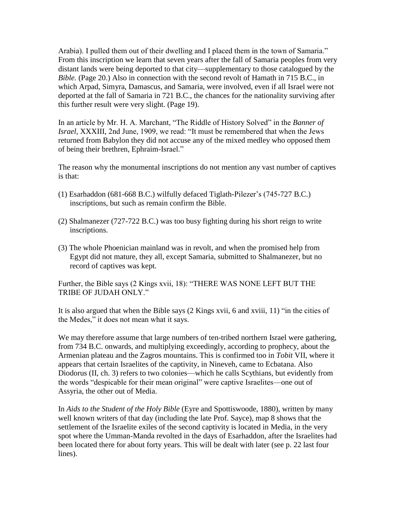Arabia). I pulled them out of their dwelling and I placed them in the town of Samaria." From this inscription we learn that seven years after the fall of Samaria peoples from very distant lands were being deported to that city—supplementary to those catalogued by the *Bible.* (Page 20.) Also in connection with the second revolt of Hamath in 715 B.C., in which Arpad, Simyra, Damascus, and Samaria, were involved, even if all Israel were not deported at the fall of Samaria in 721 B.C., the chances for the nationality surviving after this further result were very slight. (Page 19).

In an article by Mr. H. A. Marchant, "The Riddle of History Solved" in the *Banner of Israel,* XXXIII, 2nd June, 1909, we read: "It must be remembered that when the Jews returned from Babylon they did not accuse any of the mixed medley who opposed them of being their brethren, Ephraim-Israel."

The reason why the monumental inscriptions do not mention any vast number of captives is that:

- (1) Esarhaddon (681-668 B.C.) wilfully defaced Tiglath-Pilezer's (745-727 B.C.) inscriptions, but such as remain confirm the Bible.
- (2) Shalmanezer (727-722 B.C.) was too busy fighting during his short reign to write inscriptions.
- (3) The whole Phoenician mainland was in revolt, and when the promised help from Egypt did not mature, they all, except Samaria, submitted to Shalmanezer, but no record of captives was kept.

Further, the Bible says (2 Kings xvii, 18): "THERE WAS NONE LEFT BUT THE TRIBE OF JUDAH ONLY"

It is also argued that when the Bible says (2 Kings xvii, 6 and xviii, 11) "in the cities of the Medes," it does not mean what it says.

We may therefore assume that large numbers of ten-tribed northern Israel were gathering, from 734 B.C. onwards, and multiplying exceedingly, according to prophecy, about the Armenian plateau and the Zagros mountains. This is confirmed too in *Tobit* VII, where it appears that certain Israelites of the captivity, in Nineveh, came to Ecbatana. Also Diodorus (II, ch. 3) refers to two colonies—which he calls Scythians, but evidently from the words "despicable for their mean original" were captive Israelites—one out of Assyria, the other out of Media.

In *Aids to the Student of the Holy Bible* (Eyre and Spottiswoode, 1880), written by many well known writers of that day (including the late Prof. Sayce), map 8 shows that the settlement of the Israelite exiles of the second captivity is located in Media, in the very spot where the Umman-Manda revolted in the days of Esarhaddon, after the Israelites had been located there for about forty years. This will be dealt with later (see p. 22 last four lines).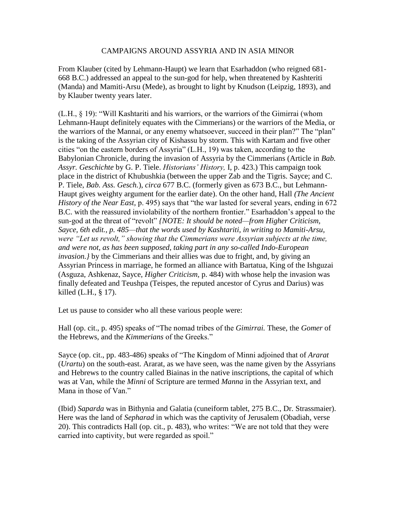#### CAMPAIGNS AROUND ASSYRIA AND IN ASIA MINOR

From Klauber (cited by Lehmann-Haupt) we learn that Esarhaddon (who reigned 681- 668 B.C.) addressed an appeal to the sun-god for help, when threatened by Kashteriti (Manda) and Mamiti-Arsu (Mede), as brought to light by Knudson (Leipzig, 1893), and by Klauber twenty years later.

(L.H., § 19): "Will Kashtariti and his warriors, or the warriors of the Gimirrai (whom Lehmann-Haupt definitely equates with the Cimmerians) or the warriors of the Media, or the warriors of the Mannai, or any enemy whatsoever, succeed in their plan?" The "plan" is the taking of the Assyrian city of Kishassu by storm. This with Kartam and five other cities "on the eastern borders of Assyria" (L.H., 19) was taken, according to the Babylonian Chronicle, during the invasion of Assyria by the Cimmerians (Article in *Bab. Assyr. Geschichte* by G. P. Tiele. *Historians' History,* I, p. 423.) This campaign took place in the district of Khubushkia (between the upper Zab and the Tigris. Sayce; and C. P. Tiele, *Bab. Ass. Gesch.*), *circa* 677 B.C. (formerly given as 673 B.C., but Lehmann-Haupt gives weighty argument for the earlier date). On the other hand, Hall *(The Ancient History of the Near East,* p. 495) says that "the war lasted for several years, ending in 672 B.C. with the reassured inviolability of the northern frontier." Esarhaddon's appeal to the sun-god at the threat of "revolt" *{NOTE: It should be noted—from Higher Criticism, Sayce, 6th edit., p. 485—that the words used by Kashtariti, in writing to Mamiti-Arsu, were "Let us revolt," showing that the Cimmerians were Assyrian subjects at the time, and were not, as has been supposed, taking part in any so-called Indo-European invasion.}* by the Cimmerians and their allies was due to fright, and, by giving an Assyrian Princess in marriage, he formed an alliance with Bartatua, King of the Ishguzai (Asguza, Ashkenaz, Sayce, *Higher Criticism,* p. 484) with whose help the invasion was finally defeated and Teushpa (Teispes, the reputed ancestor of Cyrus and Darius) was killed (L.H., § 17).

Let us pause to consider who all these various people were:

Hall (op. cit., p. 495) speaks of "The nomad tribes of the *Gimirrai.* These, the *Gomer* of the Hebrews, and the *Kimmerians* of the Greeks."

Sayce (op. cit., pp. 483-486) speaks of "The Kingdom of Minni adjoined that of *Ararat* (*Urartu*) on the south-east. Ararat, as we have seen, was the name given by the Assyrians and Hebrews to the country called Biainas in the native inscriptions, the capital of which was at Van, while the *Minni* of Scripture are termed *Manna* in the Assyrian text, and Mana in those of Van."

(Ibid) *Saparda* was in Bithynia and Galatia (cuneiform tablet, 275 B.C., Dr. Strassmaier). Here was the land of *Sepharad* in which was the captivity of Jerusalem (Obadiah, verse 20). This contradicts Hall (op. cit., p. 483), who writes: "We are not told that they were carried into captivity, but were regarded as spoil."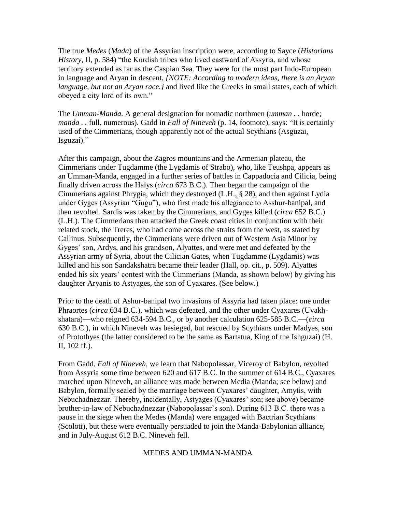The true *Medes* (*Mada*) of the Assyrian inscription were, according to Sayce (*Historians History,* II, p. 584) "the Kurdish tribes who lived eastward of Assyria, and whose territory extended as far as the Caspian Sea. They were for the most part Indo-European in language and Aryan in descent, *{NOTE: According to modern ideas, there is an Aryan language, but not an Aryan race.}* and lived like the Greeks in small states, each of which obeyed a city lord of its own."

The *Umman-Manda.* A general designation for nomadic northmen (*umman . .* horde; *manda..* full, numerous). Gadd in *Fall of Nineveh* (p. 14, footnote), says: "It is certainly used of the Cimmerians, though apparently not of the actual Scythians (Asguzai, Isguzai)."

After this campaign, about the Zagros mountains and the Armenian plateau, the Cimmerians under Tugdamme (the Lygdamis of Strabo), who, like Teushpa, appears as an Umman-Manda, engaged in a further series of battles in Cappadocia and Cilicia, being finally driven across the Halys (*circa* 673 B.C.). Then began the campaign of the Cimmerians against Phrygia, which they destroyed (L.H., § 28), and then against Lydia under Gyges (Assyrian "Gugu"), who first made his allegiance to Asshur-banipal, and then revolted. Sardis was taken by the Cimmerians, and Gyges killed (*circa* 652 B.C.) (L.H.). The Cimmerians then attacked the Greek coast cities in conjunction with their related stock, the Treres, who had come across the straits from the west, as stated by Callinus. Subsequently, the Cimmerians were driven out of Western Asia Minor by Gyges' son, Ardys, and his grandson, Alyattes, and were met and defeated by the Assyrian army of Syria, about the Cilician Gates, when Tugdamme (Lygdamis) was killed and his son Sandakshatra became their leader (Hall, op. cit., p. 509). Alyattes ended his six years' contest with the Cimmerians (Manda, as shown below) by giving his daughter Aryanis to Astyages, the son of Cyaxares. (See below.)

Prior to the death of Ashur-banipal two invasions of Assyria had taken place: one under Phraortes (*circa* 634 B.C.), which was defeated, and the other under Cyaxares (Uvakhshatara)—who reigned 634-594 B.C., or by another calculation 625-585 B.C.—(*circa*  630 B.C.), in which Nineveh was besieged, but rescued by Scythians under Madyes, son of Protothyes (the latter considered to be the same as Bartatua, King of the Ishguzai) (H. II, 102 ff.).

From Gadd, *Fall of Nineveh,* we learn that Nabopolassar, Viceroy of Babylon, revolted from Assyria some time between 620 and 617 B.C. In the summer of 614 B.C., Cyaxares marched upon Nineveh, an alliance was made between Media (Manda; see below) and Babylon, formally sealed by the marriage between Cyaxares' daughter, Amytis, with Nebuchadnezzar. Thereby, incidentally, Astyages (Cyaxares' son; see above) became brother-in-law of Nebuchadnezzar (Nabopolassar's son). During 613 B.C. there was a pause in the siege when the Medes (Manda) were engaged with Bactrian Scythians (Scoloti), but these were eventually persuaded to join the Manda-Babylonian alliance, and in July-August 612 B.C. Nineveh fell.

#### MEDES AND UMMAN-MANDA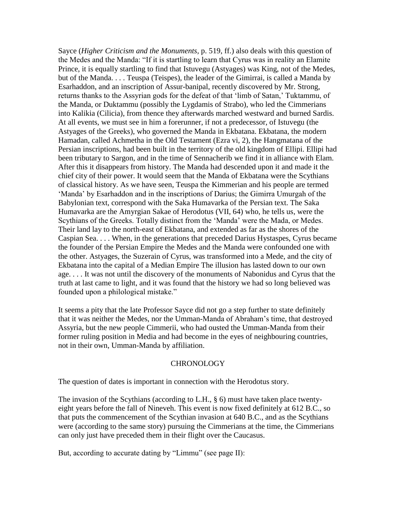Sayce (*Higher Criticism and the Monuments,* p. 519, ff.) also deals with this question of the Medes and the Manda: "If it is startling to learn that Cyrus was in reality an Elamite Prince, it is equally startling to find that Istuvegu (Astyages) was King, not of the Medes, but of the Manda. . . . Teuspa (Teispes), the leader of the Gimirrai, is called a Manda by Esarhaddon, and an inscription of Assur-banipal, recently discovered by Mr. Strong, returns thanks to the Assyrian gods for the defeat of that 'limb of Satan,' Tuktammu, of the Manda, or Duktammu (possibly the Lygdamis of Strabo), who led the Cimmerians into Kalikia (Cilicia), from thence they afterwards marched westward and burned Sardis. At all events, we must see in him a forerunner, if not a predecessor, of Istuvegu (the Astyages of the Greeks), who governed the Manda in Ekbatana. Ekbatana, the modern Hamadan, called Achmetha in the Old Testament (Ezra vi, 2), the Hangmatana of the Persian inscriptions, had been built in the territory of the old kingdom of Ellipi. Ellipi had been tributary to Sargon, and in the time of Sennacherib we find it in alliance with Elam. After this it disappears from history. The Manda had descended upon it and made it the chief city of their power. It would seem that the Manda of Ekbatana were the Scythians of classical history. As we have seen, Teuspa the Kimmerian and his people are termed 'Manda' by Esarhaddon and in the inscriptions of Darius; the Gimirra Umurgah of the Babylonian text, correspond with the Saka Humavarka of the Persian text. The Saka Humavarka are the Amyrgian Sakae of Herodotus (VII, 64) who, he tells us, were the Scythians of the Greeks. Totally distinct from the 'Manda' were the Mada, or Medes. Their land lay to the north-east of Ekbatana, and extended as far as the shores of the Caspian Sea. . . . When, in the generations that preceded Darius Hystaspes, Cyrus became the founder of the Persian Empire the Medes and the Manda were confounded one with the other. Astyages, the Suzerain of Cyrus, was transformed into a Mede, and the city of Ekbatana into the capital of a Median Empire The illusion has lasted down to our own age. . . . It was not until the discovery of the monuments of Nabonidus and Cyrus that the truth at last came to light, and it was found that the history we had so long believed was founded upon a philological mistake."

It seems a pity that the late Professor Sayce did not go a step further to state definitely that it was neither the Medes, nor the Umman-Manda of Abraham's time, that destroyed Assyria, but the new people Cimmerii, who had ousted the Umman-Manda from their former ruling position in Media and had become in the eyes of neighbouring countries, not in their own, Umman-Manda by affiliation.

#### **CHRONOLOGY**

The question of dates is important in connection with the Herodotus story.

The invasion of the Scythians (according to L.H.,  $\S$  6) must have taken place twentyeight years before the fall of Nineveh. This event is now fixed definitely at 612 B.C., so that puts the commencement of the Scythian invasion at 640 B.C., and as the Scythians were (according to the same story) pursuing the Cimmerians at the time, the Cimmerians can only just have preceded them in their flight over the Caucasus.

But, according to accurate dating by "Limmu" (see page II):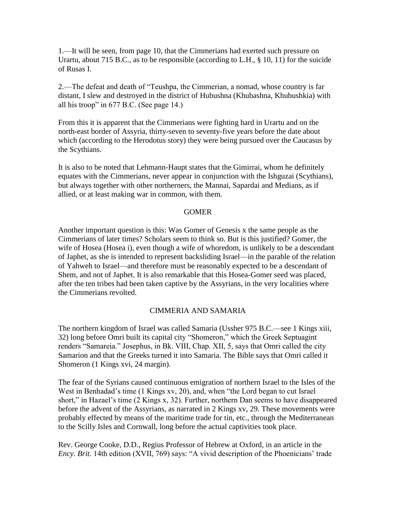1.—It will be seen, from page 10, that the Cimmerians had exerted such pressure on Urartu, about 715 B.C., as to be responsible (according to L.H., § 10, 11) for the suicide of Rusas I.

2.—The defeat and death of "Teushpa, the Cimmerian, a nomad, whose country is far distant, I slew and destroyed in the district of Hubushna (Khubashna, Khubushkia) with all his troop" in 677 B.C. (See page 14.)

From this it is apparent that the Cimmerians were fighting hard in Urartu and on the north-east border of Assyria, thirty-seven to seventy-five years before the date about which (according to the Herodotus story) they were being pursued over the Caucasus by the Scythians.

It is also to be noted that Lehmann-Haupt states that the Gimirrai, whom he definitely equates with the Cimmerians, never appear in conjunction with the Ishguzai (Scythians), but always together with other northerners, the Mannai, Sapardai and Medians, as if allied, or at least making war in common, with them.

#### **GOMER**

Another important question is this: Was Gomer of Genesis x the same people as the Cimmerians of later times? Scholars seem to think so. But is this justified? Gomer, the wife of Hosea (Hosea i), even though a wife of whoredom, is unlikely to be a descendant of Japhet, as she is intended to represent backsliding Israel—in the parable of the relation of Yahweh to Israel—and therefore must be reasonably expected to be a descendant of Shem, and not of Japhet. It is also remarkable that this Hosea-Gomer seed was placed, after the ten tribes had been taken captive by the Assyrians, in the very localities where the Cimmerians revolted.

#### CIMMERIA AND SAMARIA

The northern kingdom of Israel was called Samaria (Ussher 975 B.C.—see 1 Kings xiii, 32) long before Omri built its capital city "Shomeron," which the Greek Septuagint renders "Samareia." Josephus, in Bk. VIII, Chap. XII, 5, says that Omri called the city Samarion and that the Greeks turned it into Samaria. The Bible says that Omri called it Shomeron (1 Kings xvi, 24 margin).

The fear of the Syrians caused continuous emigration of northern Israel to the Isles of the West in Benhadad's time (1 Kings xv, 20), and, when "the Lord began to cut Israel short," in Hazael's time (2 Kings x, 32). Further, northern Dan seems to have disappeared before the advent of the Assyrians, as narrated in 2 Kings xv, 29. These movements were probably effected by means of the maritime trade for tin, etc., through the Mediterranean to the Scilly Isles and Cornwall, long before the actual captivities took place.

Rev. George Cooke, D.D., Regius Professor of Hebrew at Oxford, in an article in the *Ency. Brit.* 14th edition (XVII, 769) says: "A vivid description of the Phoenicians' trade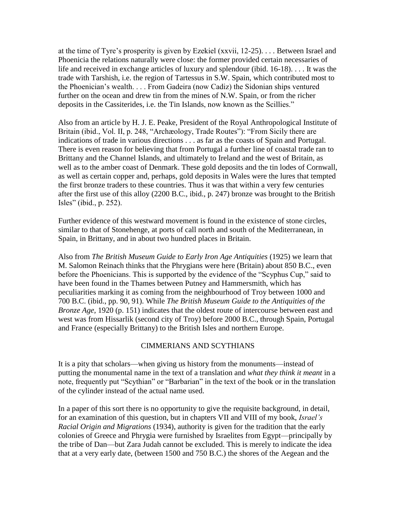at the time of Tyre's prosperity is given by Ezekiel (xxvii, 12-25). . . . Between Israel and Phoenicia the relations naturally were close: the former provided certain necessaries of life and received in exchange articles of luxury and splendour (ibid. 16-18). . . . It was the trade with Tarshish, i.e. the region of Tartessus in S.W. Spain, which contributed most to the Phoenician's wealth. . . . From Gadeira (now Cadiz) the Sidonian ships ventured further on the ocean and drew tin from the mines of N.W. Spain, or from the richer deposits in the Cassiterides, i.e. the Tin Islands, now known as the Scillies."

Also from an article by H. J. E. Peake, President of the Royal Anthropological Institute of Britain (ibid., Vol. II, p. 248, "Archæology, Trade Routes"): "From Sicily there are indications of trade in various directions . . . as far as the coasts of Spain and Portugal. There is even reason for believing that from Portugal a further line of coastal trade ran to Brittany and the Channel Islands, and ultimately to Ireland and the west of Britain, as well as to the amber coast of Denmark. These gold deposits and the tin lodes of Cornwall, as well as certain copper and, perhaps, gold deposits in Wales were the lures that tempted the first bronze traders to these countries. Thus it was that within a very few centuries after the first use of this alloy (2200 B.C., ibid., p. 247) bronze was brought to the British Isles" (ibid., p. 252).

Further evidence of this westward movement is found in the existence of stone circles, similar to that of Stonehenge, at ports of call north and south of the Mediterranean, in Spain, in Brittany, and in about two hundred places in Britain.

Also from *The British Museum Guide to Early Iron Age Antiquities* (1925) we learn that M. Salomon Reinach thinks that the Phrygians were here (Britain) about 850 B.C., even before the Phoenicians. This is supported by the evidence of the "Scyphus Cup," said to have been found in the Thames between Putney and Hammersmith, which has peculiarities marking it as coming from the neighbourhood of Troy between 1000 and 700 B.C. (ibid., pp. 90, 91). While *The British Museum Guide to the Antiquities of the Bronze Age,* 1920 (p. 151) indicates that the oldest route of intercourse between east and west was from Hissarlik (second city of Troy) before 2000 B.C., through Spain, Portugal and France (especially Brittany) to the British Isles and northern Europe.

#### CIMMERIANS AND SCYTHIANS

It is a pity that scholars—when giving us history from the monuments—instead of putting the monumental name in the text of a translation and *what they think it meant* in a note, frequently put "Scythian" or "Barbarian" in the text of the book or in the translation of the cylinder instead of the actual name used.

In a paper of this sort there is no opportunity to give the requisite background, in detail, for an examination of this question, but in chapters VII and VIII of my book, *Israel's Racial Origin and Migrations* (1934), authority is given for the tradition that the early colonies of Greece and Phrygia were furnished by Israelites from Egypt—principally by the tribe of Dan—but Zara Judah cannot be excluded. This is merely to indicate the idea that at a very early date, (between 1500 and 750 B.C.) the shores of the Aegean and the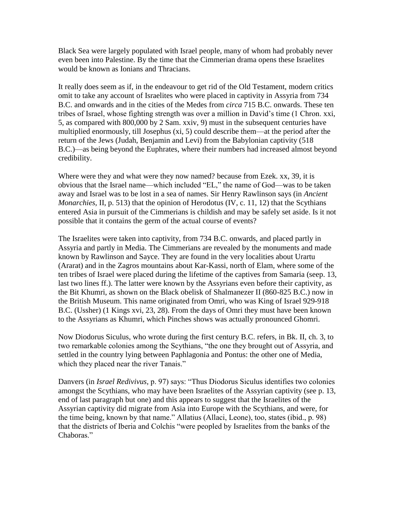Black Sea were largely populated with Israel people, many of whom had probably never even been into Palestine. By the time that the Cimmerian drama opens these Israelites would be known as Ionians and Thracians.

It really does seem as if, in the endeavour to get rid of the Old Testament, modern critics omit to take any account of Israelites who were placed in captivity in Assyria from 734 B.C. and onwards and in the cities of the Medes from *circa* 715 B.C. onwards. These ten tribes of Israel, whose fighting strength was over a million in David's time (1 Chron. xxi, 5, as compared with 800,000 by 2 Sam. xxiv, 9) must in the subsequent centuries have multiplied enormously, till Josephus (xi, 5) could describe them—at the period after the return of the Jews (Judah, Benjamin and Levi) from the Babylonian captivity (518 B.C.)—as being beyond the Euphrates, where their numbers had increased almost beyond credibility.

Where were they and what were they now named? because from Ezek. xx, 39, it is obvious that the Israel name—which included "EL," the name of God—was to be taken away and Israel was to be lost in a sea of names. Sir Henry Rawlinson says (in *Ancient Monarchies, II, p. 513)* that the opinion of Herodotus (IV, c. 11, 12) that the Scythians entered Asia in pursuit of the Cimmerians is childish and may be safely set aside. Is it not possible that it contains the germ of the actual course of events?

The Israelites were taken into captivity, from 734 B.C. onwards, and placed partly in Assyria and partly in Media. The Cimmerians are revealed by the monuments and made known by Rawlinson and Sayce. They are found in the very localities about Urartu (Ararat) and in the Zagros mountains about Kar-Kassi, north of Elam, where some of the ten tribes of Israel were placed during the lifetime of the captives from Samaria (seep. 13, last two lines ff.). The latter were known by the Assyrians even before their captivity, as the Bit Khumri, as shown on the Black obelisk of Shalmanezer II (860-825 B.C.) now in the British Museum. This name originated from Omri, who was King of Israel 929-918 B.C. (Ussher) (1 Kings xvi, 23, 28). From the days of Omri they must have been known to the Assyrians as Khumri, which Pinches shows was actually pronounced Ghomri.

Now Diodorus Siculus, who wrote during the first century B.C. refers, in Bk. II, ch. 3, to two remarkable colonies among the Scythians, "the one they brought out of Assyria, and settled in the country lying between Paphlagonia and Pontus: the other one of Media, which they placed near the river Tanais."

Danvers (in *Israel Redivivus,* p. 97) says: "Thus Diodorus Siculus identifies two colonies amongst the Scythians, who may have been Israelites of the Assyrian captivity (see p. 13, end of last paragraph but one) and this appears to suggest that the Israelites of the Assyrian captivity did migrate from Asia into Europe with the Scythians, and were, for the time being, known by that name." Allatius (Allaci, Leone), too, states (ibid., p. 98) that the districts of Iberia and Colchis "were peopled by Israelites from the banks of the Chaboras<sup>"</sup>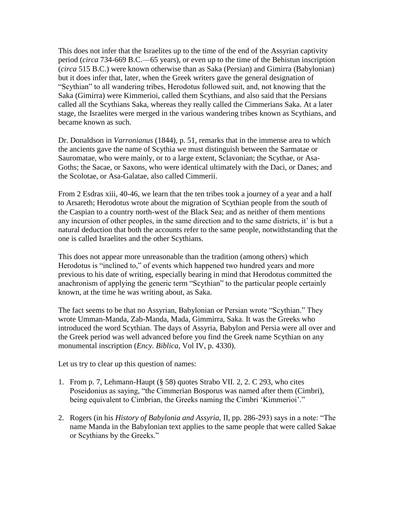This does not infer that the Israelites up to the time of the end of the Assyrian captivity period (*circa* 734-669 B.C.—65 years), or even up to the time of the Behistun inscription (*circa* 515 B.C.) were known otherwise than as Saka (Persian) and Gimirra (Babylonian) but it does infer that, later, when the Greek writers gave the general designation of "Scythian" to all wandering tribes, Herodotus followed suit, and, not knowing that the Saka (Gimirra) were Kimmerioi, called them Scythians, and also said that the Persians called all the Scythians Saka, whereas they really called the Cimmerians Saka. At a later stage, the Israelites were merged in the various wandering tribes known as Scythians, and became known as such.

Dr. Donaldson in *Varronianus* (1844), p. 51, remarks that in the immense area to which the ancients gave the name of Scythia we must distinguish between the Sarmatae or Sauromatae, who were mainly, or to a large extent, Sclavonian; the Scythae, or Asa-Goths; the Sacae, or Saxons, who were identical ultimately with the Daci, or Danes; and the Scolotae, or Asa-Galatae, also called Cimmerii.

From 2 Esdras xiii, 40-46, we learn that the ten tribes took a journey of a year and a half to Arsareth; Herodotus wrote about the migration of Scythian people from the south of the Caspian to a country north-west of the Black Sea; and as neither of them mentions any incursion of other peoples, in the same direction and to the same districts, it' is but a natural deduction that both the accounts refer to the same people, notwithstanding that the one is called Israelites and the other Scythians.

This does not appear more unreasonable than the tradition (among others) which Herodotus is "inclined to," of events which happened two hundred years and more previous to his date of writing, especially bearing in mind that Herodotus committed the anachronism of applying the generic term "Scythian" to the particular people certainly known, at the time he was writing about, as Saka.

The fact seems to be that no Assyrian, Babylonian or Persian wrote "Scythian." They wrote Umman-Manda, Zab-Manda, Mada, Gimmirra, Saka. It was the Greeks who introduced the word Scythian. The days of Assyria, Babylon and Persia were all over and the Greek period was well advanced before you find the Greek name Scythian on any monumental inscription (*Ency. Biblica,* Vol IV, p. 4330).

Let us try to clear up this question of names:

- 1. From p. 7, Lehmann-Haupt (§ 58) quotes Strabo VII. 2, 2. C 293, who cites Poseidonius as saying, "the Cimmerian Bosporus was named after them (Cimbri), being equivalent to Cimbrian, the Greeks naming the Cimbri 'Kimmerioi'."
- 2. Rogers (in his *History of Babylonia and Assyria,* II, pp. 286-293) says in a note: "The name Manda in the Babylonian text applies to the same people that were called Sakae or Scythians by the Greeks."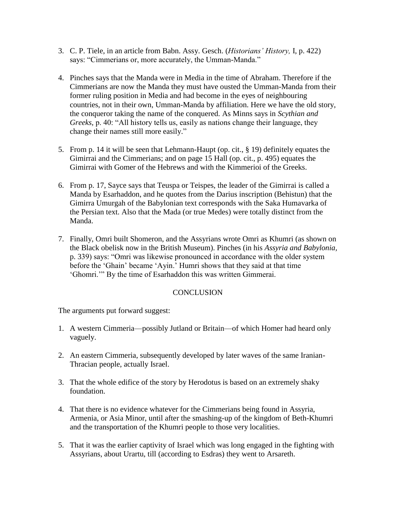- 3. C. P. Tiele, in an article from Babn. Assy. Gesch. (*Historians' History,* I, p. 422) says: "Cimmerians or, more accurately, the Umman-Manda."
- 4. Pinches says that the Manda were in Media in the time of Abraham. Therefore if the Cimmerians are now the Manda they must have ousted the Umman-Manda from their former ruling position in Media and had become in the eyes of neighbouring countries, not in their own, Umman-Manda by affiliation. Here we have the old story, the conqueror taking the name of the conquered. As Minns says in *Scythian and Greeks,* p. 40: "All history tells us, easily as nations change their language, they change their names still more easily."
- 5. From p. 14 it will be seen that Lehmann-Haupt (op. cit., § 19) definitely equates the Gimirrai and the Cimmerians; and on page 15 Hall (op. cit., p. 495) equates the Gimirrai with Gomer of the Hebrews and with the Kimmerioi of the Greeks.
- 6. From p. 17, Sayce says that Teuspa or Teispes, the leader of the Gimirrai is called a Manda by Esarhaddon, and he quotes from the Darius inscription (Behistun) that the Gimirra Umurgah of the Babylonian text corresponds with the Saka Humavarka of the Persian text. Also that the Mada (or true Medes) were totally distinct from the Manda.
- 7. Finally, Omri built Shomeron, and the Assyrians wrote Omri as Khumri (as shown on the Black obelisk now in the British Museum). Pinches (in his *Assyria and Babylonia,*  p. 339) says: "Omri was likewise pronounced in accordance with the older system before the 'Ghain' became 'Ayin.' Humri shows that they said at that time 'Ghomri.'" By the time of Esarhaddon this was written Gimmerai.

#### **CONCLUSION**

The arguments put forward suggest:

- 1. A western Cimmeria—possibly Jutland or Britain—of which Homer had heard only vaguely.
- 2. An eastern Cimmeria, subsequently developed by later waves of the same Iranian-Thracian people, actually Israel.
- 3. That the whole edifice of the story by Herodotus is based on an extremely shaky foundation.
- 4. That there is no evidence whatever for the Cimmerians being found in Assyria, Armenia, or Asia Minor, until after the smashing-up of the kingdom of Beth-Khumri and the transportation of the Khumri people to those very localities.
- 5. That it was the earlier captivity of Israel which was long engaged in the fighting with Assyrians, about Urartu, till (according to Esdras) they went to Arsareth.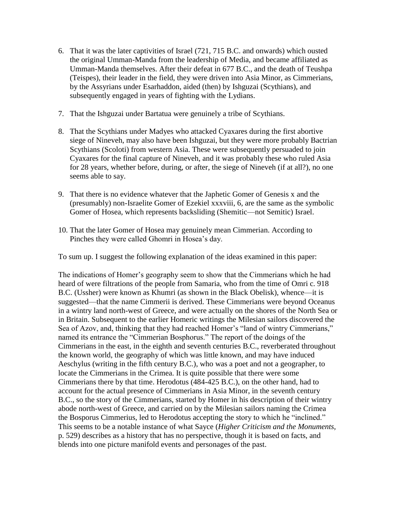- 6. That it was the later captivities of Israel (721, 715 B.C. and onwards) which ousted the original Umman-Manda from the leadership of Media, and became affiliated as Umman-Manda themselves. After their defeat in 677 B.C., and the death of Teushpa (Teispes), their leader in the field, they were driven into Asia Minor, as Cimmerians, by the Assyrians under Esarhaddon, aided (then) by Ishguzai (Scythians), and subsequently engaged in years of fighting with the Lydians.
- 7. That the Ishguzai under Bartatua were genuinely a tribe of Scythians.
- 8. That the Scythians under Madyes who attacked Cyaxares during the first abortive siege of Nineveh, may also have been Ishguzai, but they were more probably Bactrian Scythians (Scoloti) from western Asia. These were subsequently persuaded to join Cyaxares for the final capture of Nineveh, and it was probably these who ruled Asia for 28 years, whether before, during, or after, the siege of Nineveh (if at all?), no one seems able to say.
- 9. That there is no evidence whatever that the Japhetic Gomer of Genesis x and the (presumably) non-Israelite Gomer of Ezekiel xxxviii, 6, are the same as the symbolic Gomer of Hosea, which represents backsliding (Shemitic—not Semitic) Israel.
- 10. That the later Gomer of Hosea may genuinely mean Cimmerian. According to Pinches they were called Ghomri in Hosea's day.
- To sum up. I suggest the following explanation of the ideas examined in this paper:

The indications of Homer's geography seem to show that the Cimmerians which he had heard of were filtrations of the people from Samaria, who from the time of Omri c. 918 B.C. (Ussher) were known as Khumri (as shown in the Black Obelisk), whence—it is suggested—that the name Cimmerii is derived. These Cimmerians were beyond Oceanus in a wintry land north-west of Greece, and were actually on the shores of the North Sea or in Britain. Subsequent to the earlier Homeric writings the Milesian sailors discovered the Sea of Azov, and, thinking that they had reached Homer's "land of wintry Cimmerians," named its entrance the "Cimmerian Bosphorus." The report of the doings of the Cimmerians in the east, in the eighth and seventh centuries B.C., reverberated throughout the known world, the geography of which was little known, and may have induced Aeschylus (writing in the fifth century B.C.), who was a poet and not a geographer, to locate the Cimmerians in the Crimea. It is quite possible that there were some Cimmerians there by that time. Herodotus (484-425 B.C.), on the other hand, had to account for the actual presence of Cimmerians in Asia Minor, in the seventh century B.C., so the story of the Cimmerians, started by Homer in his description of their wintry abode north-west of Greece, and carried on by the Milesian sailors naming the Crimea the Bosporus Cimmerius, led to Herodotus accepting the story to which he "inclined." This seems to be a notable instance of what Sayce (*Higher Criticism and the Monuments,*  p. 529) describes as a history that has no perspective, though it is based on facts, and blends into one picture manifold events and personages of the past.